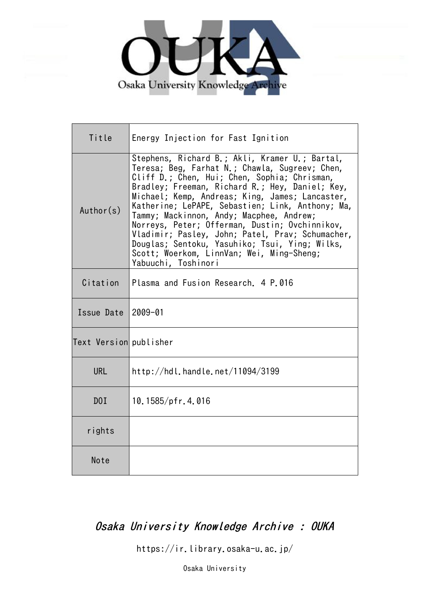

| Title                  | Energy Injection for Fast Ignition                                                                                                                                                                                                                                                                                                                                                                                                                                                                                                                                                 |
|------------------------|------------------------------------------------------------------------------------------------------------------------------------------------------------------------------------------------------------------------------------------------------------------------------------------------------------------------------------------------------------------------------------------------------------------------------------------------------------------------------------------------------------------------------------------------------------------------------------|
| Author(s)              | Stephens, Richard B.; Akli, Kramer U.; Bartal,<br>Teresa; Beg, Farhat N.; Chawla, Sugreev; Chen,<br>Cliff D.; Chen, Hui; Chen, Sophia; Chrisman,<br>Bradley; Freeman, Richard R.; Hey, Daniel; Key,<br>Michael; Kemp, Andreas; King, James; Lancaster,<br>Katherine; LePAPE, Sebastien; Link, Anthony; Ma,<br>Tammy; Mackinnon, Andy; Macphee, Andrew;<br>Norreys, Peter; Offerman, Dustin; Ovchinnikov,<br>Vladimir; Pasley, John; Patel, Prav; Schumacher,<br>Douglas; Sentoku, Yasuhiko; Tsui, Ying; Wilks,<br>Scott; Woerkom, LinnVan; Wei, Ming-Sheng;<br>Yabuuchi, Toshinori |
| Citation               | Plasma and Fusion Research. 4 P.016                                                                                                                                                                                                                                                                                                                                                                                                                                                                                                                                                |
| Issue Date             | 2009-01                                                                                                                                                                                                                                                                                                                                                                                                                                                                                                                                                                            |
| Text Version publisher |                                                                                                                                                                                                                                                                                                                                                                                                                                                                                                                                                                                    |
| <b>URL</b>             | http://hdl.handle.net/11094/3199                                                                                                                                                                                                                                                                                                                                                                                                                                                                                                                                                   |
| DOI                    | $10.1585/$ pfr.4.016                                                                                                                                                                                                                                                                                                                                                                                                                                                                                                                                                               |
| rights                 |                                                                                                                                                                                                                                                                                                                                                                                                                                                                                                                                                                                    |
| Note                   |                                                                                                                                                                                                                                                                                                                                                                                                                                                                                                                                                                                    |

# Osaka University Knowledge Archive : OUKA

https://ir.library.osaka-u.ac.jp/

Osaka University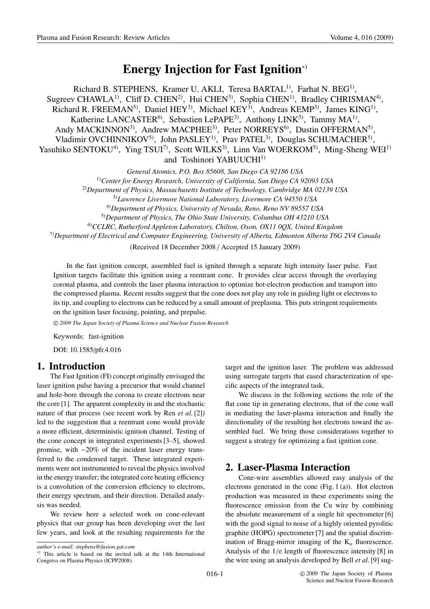# **Energy Injection for Fast Ignition**∗)

Richard B. STEPHENS, Kramer U. AKLI, Teresa BARTAL<sup>1)</sup>, Farhat N. BEG<sup>1)</sup>, Sugreev CHAWLA<sup>1)</sup>, Cliff D. CHEN<sup>2)</sup>, Hui CHEN<sup>3)</sup>, Sophia CHEN<sup>1)</sup>, Bradley CHRISMAN<sup>4)</sup>, Richard R. FREEMAN<sup>5)</sup>, Daniel HEY<sup>3)</sup>, Michael KEY<sup>3</sup><sup>)</sup>, Andreas KEMP<sup>3</sup>), James KING<sup>1</sup><sup>)</sup>, Katherine LANCASTER<sup>6)</sup>, Sebastien LePAPE<sup>3)</sup>, Anthony LINK<sup>5)</sup>, Tammy MA<sup>1)</sup>, Andy MACKINNON<sup>3)</sup>, Andrew MACPHEE<sup>3)</sup>, Peter NORREYS<sup>6)</sup>, Dustin OFFERMAN<sup>5)</sup>, Vladimir OVCHINNIKOV<sup>5)</sup>, John PASLEY<sup>1)</sup>, Prav PATEL<sup>3)</sup>, Douglas SCHUMACHER<sup>5)</sup>, Yasuhiko SENTOKU<sup>4</sup>), Ying TSUI<sup>7)</sup>, Scott WILKS<sup>3</sup>), Linn Van WOERKOM<sup>5)</sup>, Ming-Sheng WEI<sup>1)</sup> and Toshinori YABUUCHI<sup>1)</sup>

*General Atomics, P.O. Box 85608, San Diego CA 92186 USA*

1)*Center for Energy Research, University of California, San Diego CA 92093 USA*

2)*Department of Physics, Massachusetts Institute of Technology, Cambridge MA 02139 USA*

3)*Lawrence Livermore National Laboratory, Livermore CA 94550 USA*

4)*Department of Physics, University of Nevada, Reno, Reno NV 89557 USA*

5)*Department of Physics, The Ohio State University, Columbus OH 43210 USA*

6)*CCLRC, Rutherford Appleton Laboratory, Chilton, Oxon, OX11 0QX, United Kingdom*

7)*Department of Electrical and Computer Engineering, University of Alberta, Edmonton Alberta T6G 2V4 Canada*

(Received 18 December 2008 / Accepted 15 January 2009)

In the fast ignition concept, assembled fuel is ignited through a separate high intensity laser pulse. Fast Ignition targets facilitate this ignition using a reentrant cone. It provides clear access through the overlaying coronal plasma, and controls the laser plasma interaction to optimize hot-electron production and transport into the compressed plasma. Recent results suggest that the cone does not play any role in guiding light or electrons to its tip, and coupling to electrons can be reduced by a small amount of preplasma. This puts stringent requirements on the ignition laser focusing, pointing, and prepulse.

c *2009 The Japan Society of Plasma Science and Nuclear Fusion Research*

Keywords: fast-ignition

DOI: 10.1585/pfr.4.016

# **1. Introduction**

The Fast Ignition (FI) concept originally envisaged the laser ignition pulse having a precursor that would channel and hole-bore through the corona to create electrons near the core [1]. The apparent complexity in and the stochastic nature of that process (see recent work by Ren *et al.* [2]) led to the suggestion that a reentrant cone would provide a more efficient, deterministic ignition channel. Testing of the cone concept in integrated experiments [3–5], showed promise, with ∼20% of the incident laser energy transferred to the condensed target. These integrated experiments were not instrumented to reveal the physics involved in the energy transfer; the integrated core heating efficiency is a convolution of the conversion efficiency to electrons, their energy spectrum, and their direction. Detailed analysis was needed.

We review here a selected work on cone-relevant physics that our group has been developing over the last few years, and look at the resulting requirements for the target and the ignition laser. The problem was addressed using surrogate targets that eased characterization of specific aspects of the integrated task.

We discuss in the following sections the role of the flat cone tip in generating electrons, that of the cone wall in mediating the laser-plasma interaction and finally the directionality of the resulting hot electrons toward the assembled fuel. We bring those considerations together to suggest a strategy for optimizing a fast ignition cone.

# **2. Laser-Plasma Interaction**

Cone-wire assemblies allowed easy analysis of the electrons generated in the cone (Fig. 1 (a)). Hot electron production was measured in these experiments using the fluorescence emission from the Cu wire by combining the absolute measurement of a single hit spectrometer [6] with the good signal to noise of a highly oriented pyrolitic graphite (HOPG) spectrometer [7] and the spatial discrimination of Bragg-mirror imaging of the  $K_{\alpha}$  fluorescence. Analysis of the 1/e length of fluorescence intensity [8] in the wire using an analysis developed by Bell *et al.* [9] sug-

*author's e-mail: stephens@fusion.gat.com*

<sup>∗</sup>) This article is based on the invited talk at the 14th International Congress on Plasma Physics (ICPP2008).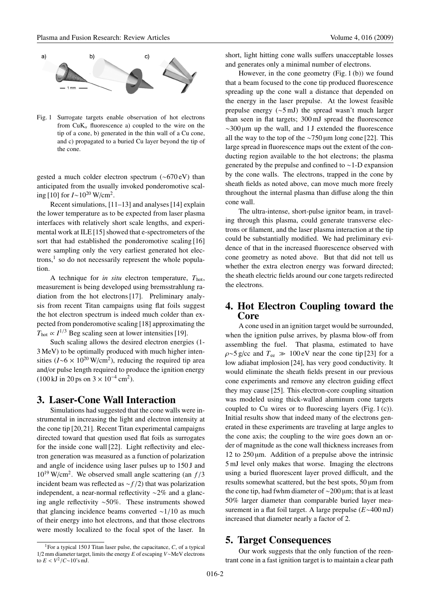

Fig. 1 Surrogate targets enable observation of hot electrons from  $CuK_\alpha$  fluorescence a) coupled to the wire on the tip of a cone, b) generated in the thin wall of a Cu cone, and c) propagated to a buried Cu layer beyond the tip of the cone.

gested a much colder electron spectrum (∼670 eV) than anticipated from the usually invoked ponderomotive scaling [10] for  $I \sim 10^{20}$  W/cm<sup>2</sup>.

Recent simulations, [11–13] and analyses [14] explain the lower temperature as to be expected from laser plasma interfaces with relatively short scale lengths, and experimental work at ILE [15] showed that e-spectrometers of the sort that had established the ponderomotive scaling [16] were sampling only the very earliest generated hot electrons, $<sup>1</sup>$  so do not necessarily represent the whole popula-</sup> tion.

A technique for *in situ* electron temperature, *T*hot, measurement is being developed using bremsstrahlung radiation from the hot electrons [17]. Preliminary analysis from recent Titan campaigns using flat foils suggest the hot electron spectrum is indeed much colder than expected from ponderomotive scaling [18] approximating the  $T_{\text{hot}} \propto I^{1/3}$  Beg scaling seen at lower intensities [19].

Such scaling allows the desired electron energies (1- 3 MeV) to be optimally produced with much higher intensities ( $I \sim 6 \times 10^{20}$  W/cm<sup>2</sup>), reducing the required tip area and/or pulse length required to produce the ignition energy  $(100 \text{ kJ in } 20 \text{ ps on } 3 \times 10^{-4} \text{ cm}^2).$ 

#### **3. Laser-Cone Wall Interaction**

Simulations had suggested that the cone walls were instrumental in increasing the light and electron intensity at the cone tip [20,21]. Recent Titan experimental campaigns directed toward that question used flat foils as surrogates for the inside cone wall [22]. Light reflectivity and electron generation was measured as a function of polarization and angle of incidence using laser pulses up to 150 J and 1019 W/cm2. We observed small angle scattering (an *f* /3 incident beam was reflected as ∼*f* /2) that was polarization independent, a near-normal reflectivity ∼2% and a glancing angle reflectivity ∼50%. These instruments showed that glancing incidence beams converted ∼1/10 as much of their energy into hot electrons, and that those electrons were mostly localized to the focal spot of the laser. In short, light hitting cone walls suffers unacceptable losses and generates only a minimal number of electrons.

However, in the cone geometry (Fig. 1 (b)) we found that a beam focused to the cone tip produced fluorescence spreading up the cone wall a distance that depended on the energy in the laser prepulse. At the lowest feasible prepulse energy (∼5 mJ) the spread wasn't much larger than seen in flat targets; 300 mJ spread the fluorescence ∼300 µm up the wall, and 1 J extended the fluorescence all the way to the top of the ∼750 µm long cone [22]. This large spread in fluorescence maps out the extent of the conducting region available to the hot electrons; the plasma generated by the prepulse and confined to ∼1-D expansion by the cone walls. The electrons, trapped in the cone by sheath fields as noted above, can move much more freely throughout the internal plasma than diffuse along the thin cone wall.

The ultra-intense, short-pulse ignitor beam, in traveling through this plasma, could generate transverse electrons or filament, and the laser plasma interaction at the tip could be substantially modified. We had preliminary evidence of that in the increased fluorescence observed with cone geometry as noted above. But that did not tell us whether the extra electron energy was forward directed; the sheath electric fields around our cone targets redirected the electrons.

# **4. Hot Electron Coupling toward the Core**

A cone used in an ignition target would be surrounded, when the ignition pulse arrives, by plasma blow-off from assembling the fuel. That plasma, estimated to have  $\rho \sim 5$  g/cc and  $T_{ee} \gg 100 \text{ eV}$  near the cone tip [23] for a low adiabat implosion [24], has very good conductivity. It would eliminate the sheath fields present in our previous cone experiments and remove any electron guiding effect they may cause [25]. This electron-core coupling situation was modeled using thick-walled aluminum cone targets coupled to Cu wires or to fluorescing layers (Fig. 1 (c)). Initial results show that indeed many of the electrons generated in these experiments are traveling at large angles to the cone axis; the coupling to the wire goes down an order of magnitude as the cone wall thickness increases from 12 to  $250 \mu m$ . Addition of a prepulse above the intrinsic 5 mJ level only makes that worse. Imaging the electrons using a buried fluorescent layer proved difficult, and the results somewhat scattered, but the best spots, 50 µm from the cone tip, had fwhm diameter of ∼200 µm; that is at least 50% larger diameter than comparable buried layer measurement in a flat foil target. A large prepulse (*E*∼400 mJ) increased that diameter nearly a factor of 2.

#### **5. Target Consequences**

Our work suggests that the only function of the reentrant cone in a fast ignition target is to maintain a clear path

<sup>&</sup>lt;sup>1</sup>For a typical 150 J Titan laser pulse, the capacitance,  $C$ , of a typical 1/2 mm diameter target, limits the energy *E* of escaping *V*∼MeV electrons to *E* <  $V^2$ /*C*∼10's mJ.